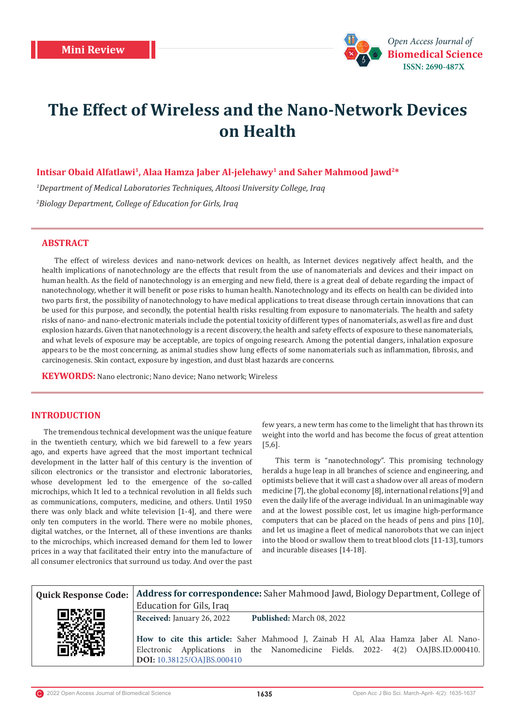

# **The Effect of Wireless and the Nano-Network Devices on Health**

# **Intisar Obaid Alfatlawi1, Alaa Hamza Jaber Al-jelehawy1 and Saher Mahmood Jawd2\***

*1 Department of Medical Laboratories Techniques, Altoosi University College, Iraq 2 Biology Department, College of Education for Girls, Iraq*

# **ABSTRACT**

The effect of wireless devices and nano-network devices on health, as Internet devices negatively affect health, and the health implications of nanotechnology are the effects that result from the use of nanomaterials and devices and their impact on human health. As the field of nanotechnology is an emerging and new field, there is a great deal of debate regarding the impact of nanotechnology, whether it will benefit or pose risks to human health. Nanotechnology and its effects on health can be divided into two parts first, the possibility of nanotechnology to have medical applications to treat disease through certain innovations that can be used for this purpose, and secondly, the potential health risks resulting from exposure to nanomaterials. The health and safety risks of nano- and nano-electronic materials include the potential toxicity of different types of nanomaterials, as well as fire and dust explosion hazards. Given that nanotechnology is a recent discovery, the health and safety effects of exposure to these nanomaterials, and what levels of exposure may be acceptable, are topics of ongoing research. Among the potential dangers, inhalation exposure appears to be the most concerning, as animal studies show lung effects of some nanomaterials such as inflammation, fibrosis, and carcinogenesis. Skin contact, exposure by ingestion, and dust blast hazards are concerns.

**KEYWORDS:** Nano electronic; Nano device; Nano network; Wireless

## **INTRODUCTION**

The tremendous technical development was the unique feature in the twentieth century, which we bid farewell to a few years ago, and experts have agreed that the most important technical development in the latter half of this century is the invention of silicon electronics or the transistor and electronic laboratories, whose development led to the emergence of the so-called microchips, which It led to a technical revolution in all fields such as communications, computers, medicine, and others. Until 1950 there was only black and white television [1-4], and there were only ten computers in the world. There were no mobile phones, digital watches, or the Internet, all of these inventions are thanks to the microchips, which increased demand for them led to lower prices in a way that facilitated their entry into the manufacture of all consumer electronics that surround us today. And over the past

few years, a new term has come to the limelight that has thrown its weight into the world and has become the focus of great attention [5,6].

This term is "nanotechnology". This promising technology heralds a huge leap in all branches of science and engineering, and optimists believe that it will cast a shadow over all areas of modern medicine [7], the global economy [8], international relations [9] and even the daily life of the average individual. In an unimaginable way and at the lowest possible cost, let us imagine high-performance computers that can be placed on the heads of pens and pins [10], and let us imagine a fleet of medical nanorobots that we can inject into the blood or swallow them to treat blood clots [11-13], tumors and incurable diseases [14-18].

|      | Quick Response Code:   Address for correspondence: Saher Mahmood Jawd, Biology Department, College of                                                                                               |
|------|-----------------------------------------------------------------------------------------------------------------------------------------------------------------------------------------------------|
|      | Education for Gils, Iraq                                                                                                                                                                            |
| 同野溪同 | Received: January 26, 2022<br>Published: March 08, 2022                                                                                                                                             |
|      | How to cite this article: Saher Mahmood J, Zainab H Al, Alaa Hamza Jaber Al. Nano-<br>Electronic Applications in the Nanomedicine Fields. 2022- 4(2) OAJBS.ID.000410.<br>DOI: 10.38125/OAJBS.000410 |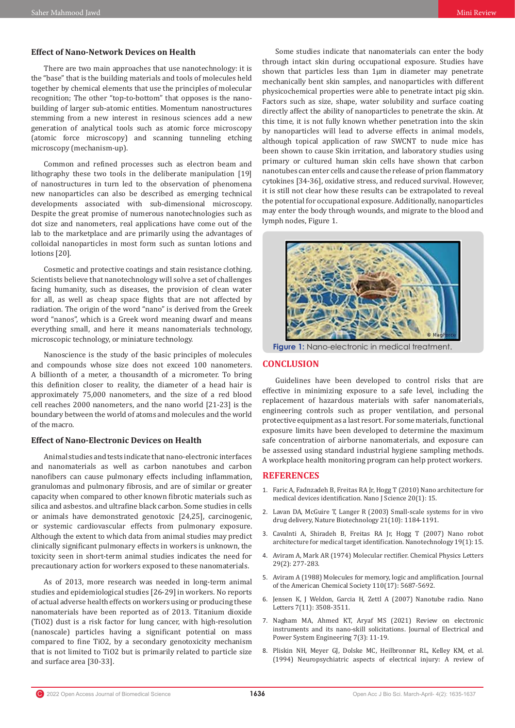# **Effect of Nano-Network Devices on Health**

There are two main approaches that use nanotechnology: it is the "base" that is the building materials and tools of molecules held together by chemical elements that use the principles of molecular recognition; The other "top-to-bottom" that opposes is the nanobuilding of larger sub-atomic entities. Momentum nanostructures stemming from a new interest in resinous sciences add a new generation of analytical tools such as atomic force microscopy (atomic force microscopy) and scanning tunneling etching microscopy (mechanism-up).

Common and refined processes such as electron beam and lithography these two tools in the deliberate manipulation [19] of nanostructures in turn led to the observation of phenomena new nanoparticles can also be described as emerging technical developments associated with sub-dimensional microscopy. Despite the great promise of numerous nanotechnologies such as dot size and nanometers, real applications have come out of the lab to the marketplace and are primarily using the advantages of colloidal nanoparticles in most form such as suntan lotions and lotions [20].

Cosmetic and protective coatings and stain resistance clothing. Scientists believe that nanotechnology will solve a set of challenges facing humanity, such as diseases, the provision of clean water for all, as well as cheap space flights that are not affected by radiation. The origin of the word "nano" is derived from the Greek word "nanos", which is a Greek word meaning dwarf and means everything small, and here it means nanomaterials technology, microscopic technology, or miniature technology.

Nanoscience is the study of the basic principles of molecules and compounds whose size does not exceed 100 nanometers. A billionth of a meter, a thousandth of a micrometer. To bring this definition closer to reality, the diameter of a head hair is approximately 75,000 nanometers, and the size of a red blood cell reaches 2000 nanometers, and the nano world [21-23] is the boundary between the world of atoms and molecules and the world of the macro.

## **Effect of Nano-Electronic Devices on Health**

Animal studies and tests indicate that nano-electronic interfaces and nanomaterials as well as carbon nanotubes and carbon nanofibers can cause pulmonary effects including inflammation, granulomas and pulmonary fibrosis, and are of similar or greater capacity when compared to other known fibrotic materials such as silica and asbestos. and ultrafine black carbon. Some studies in cells or animals have demonstrated genotoxic [24,25], carcinogenic, or systemic cardiovascular effects from pulmonary exposure. Although the extent to which data from animal studies may predict clinically significant pulmonary effects in workers is unknown, the toxicity seen in short-term animal studies indicates the need for precautionary action for workers exposed to these nanomaterials.

As of 2013, more research was needed in long-term animal studies and epidemiological studies [26-29] in workers. No reports of actual adverse health effects on workers using or producing these nanomaterials have been reported as of 2013. Titanium dioxide (TiO2) dust is a risk factor for lung cancer, with high-resolution (nanoscale) particles having a significant potential on mass compared to fine TiO2, by a secondary genotoxicity mechanism that is not limited to TiO2 but is primarily related to particle size and surface area [30-33].

Some studies indicate that nanomaterials can enter the body through intact skin during occupational exposure. Studies have shown that particles less than 1µm in diameter may penetrate mechanically bent skin samples, and nanoparticles with different physicochemical properties were able to penetrate intact pig skin. Factors such as size, shape, water solubility and surface coating directly affect the ability of nanoparticles to penetrate the skin. At this time, it is not fully known whether penetration into the skin by nanoparticles will lead to adverse effects in animal models, although topical application of raw SWCNT to nude mice has been shown to cause Skin irritation, and laboratory studies using primary or cultured human skin cells have shown that carbon nanotubes can enter cells and cause the release of prion flammatory cytokines [34-36], oxidative stress, and reduced survival. However, it is still not clear how these results can be extrapolated to reveal the potential for occupational exposure. Additionally, nanoparticles may enter the body through wounds, and migrate to the blood and lymph nodes, Figure 1.



**Figure 1:** Nano-electronic in medical treatment.

## **CONCLUSION**

Guidelines have been developed to control risks that are effective in minimizing exposure to a safe level, including the replacement of hazardous materials with safer nanomaterials, engineering controls such as proper ventilation, and personal protective equipment as a last resort. For some materials, functional exposure limits have been developed to determine the maximum safe concentration of airborne nanomaterials, and exposure can be assessed using standard industrial hygiene sampling methods. A workplace health monitoring program can help protect workers.

## **REFERENCES**

- 1. Faric A, Fadnzadeh B, Freitas RA Jr, Hogg T (2010) Nano architecture for medical devices identification. Nano J Science 20(1): 15.
- 2. [Lavan DA, McGuire T, Langer R \(2003\) Small-scale systems for in vivo](https://pubmed.ncbi.nlm.nih.gov/14520404/) [drug delivery, Nature Biotechnology 21\(10\): 1184-1191.](https://pubmed.ncbi.nlm.nih.gov/14520404/)
- 3. [Cavalnti A, Shiradeh B, Freitas RA Jr, Hogg T \(2007\) Nano robot](https://iopscience.iop.org/article/10.1088/0957-4484/19/01/015103) [architecture for medical target identification. Nanotechnology 19\(1\): 15.](https://iopscience.iop.org/article/10.1088/0957-4484/19/01/015103)
- 4. [Aviram A, Mark AR \(1974\) Molecular rectifier. Chemical Physics Letters](https://www.sciencedirect.com/science/article/abs/pii/0009261474850311) [29\(2\): 277-283.](https://www.sciencedirect.com/science/article/abs/pii/0009261474850311)
- 5. [Aviram A \(1988\) Molecules for memory, logic and amplification. Journal](https://www.mindat.org/reference.php?id=1426091) [of the American Chemical Society 110\(17\): 5687-5692.](https://www.mindat.org/reference.php?id=1426091)
- 6. [Jensen K, J Weldon, Garcia H, Zettl A \(2007\) Nanotube radio. Nano](https://pubmed.ncbi.nlm.nih.gov/17973438/) [Letters 7\(11\): 3508-3511.](https://pubmed.ncbi.nlm.nih.gov/17973438/)
- 7. Nagham MA, Ahmed KT, Aryaf MS (2021) Review on electronic instruments and its nano-skill solicitations. Journal of Electrical and Power System Engineering 7(3): 11-19.
- 8. [Pliskin NH, Meyer GJ, Dolske MC, Heilbronner RL, Kelley KM, et al.](https://pubmed.ncbi.nlm.nih.gov/8010642/) [\(1994\) Neuropsychiatric aspects of electrical injury: A review of](https://pubmed.ncbi.nlm.nih.gov/8010642/)